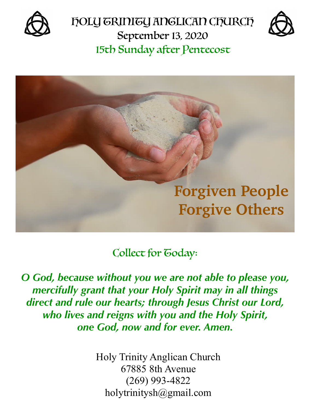







Collect for Goday:

*O God, because without you we are not able to please you, mercifully grant that your Holy Spirit may in all things direct and rule our hearts; through Jesus Christ our Lord, who lives and reigns with you and the Holy Spirit, one God, now and for ever. Amen.*

> Holy Trinity Anglican Church 67885 8th Avenue (269) 993-4822 [holytrinitysh@gmail.com](mailto:holytrinitysh@gmail.com)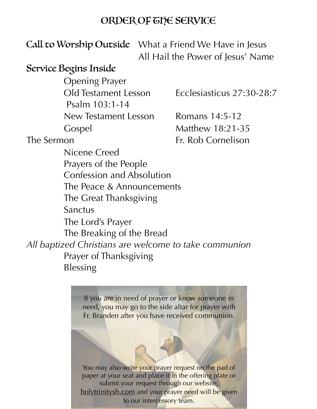## ORDER OF THE SERVICE

Call to Worship Outside What a Friend We Have in Jesus All Hail the Power of Jesus' Name

### Service Begins Inside

Opening Prayer Psalm 103:1-14 New Testament Lesson Romans 14:5-12 Gospel Matthew 18:21-35

Old Testament Lesson Ecclesiasticus 27:30-28:7

The Sermon Fr. Rob Cornelison

 Nicene Creed Prayers of the People Confession and Absolution The Peace & Announcements The Great Thanksgiving Sanctus The Lord's Prayer The Breaking of the Bread *All baptized Christians are welcome to take communion*  Prayer of Thanksgiving Blessing

> If you are in need of prayer or know someone in need, you may go to the side altar for prayer with Fr. Branden after you have received communion.

You may also write your prayer request on the pad of paper at your seat and place it in the offering plate or submit your request through our website, [holytrinitysh.com](http://holytrinitysh.com) and your prayer need will be given to our intercessory team.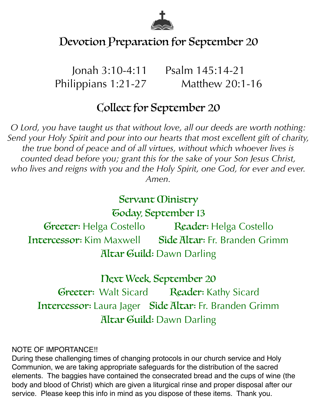

# Devotion Preparation for September 20

Jonah 3:10-4:11 Psalm 145:14-21 Philippians 1:21-27 Matthew 20:1-16

# Collect for September 20

*O Lord, you have taught us that without love, all our deeds are worth nothing: Send your Holy Spirit and pour into our hearts that most excellent gift of charity, the true bond of peace and of all virtues, without which whoever lives is counted dead before you; grant this for the sake of your Son Jesus Christ,*  who lives and reigns with you and the Holy Spirit, one God, for ever and ever. *Amen.* 

## Servant *Ministry* Today, September 13

Greeter: Helga Costello Reader: Helga Costello Intercessor: Kim Maxwell Side Altar: Fr. Branden Grimm **Altar Guild: Dawn Darling** 

## Next Week, September 20

Greeter: Walt Sicard Reader: Kathy Sicard Intercessor: Laura Jager Side Altar: Fr. Branden Grimm Altar Guild: Dawn Darling

#### NOTE OF IMPORTANCE!!

During these challenging times of changing protocols in our church service and Holy Communion, we are taking appropriate safeguards for the distribution of the sacred elements. The baggies have contained the consecrated bread and the cups of wine (the body and blood of Christ) which are given a liturgical rinse and proper disposal after our service. Please keep this info in mind as you dispose of these items. Thank you.